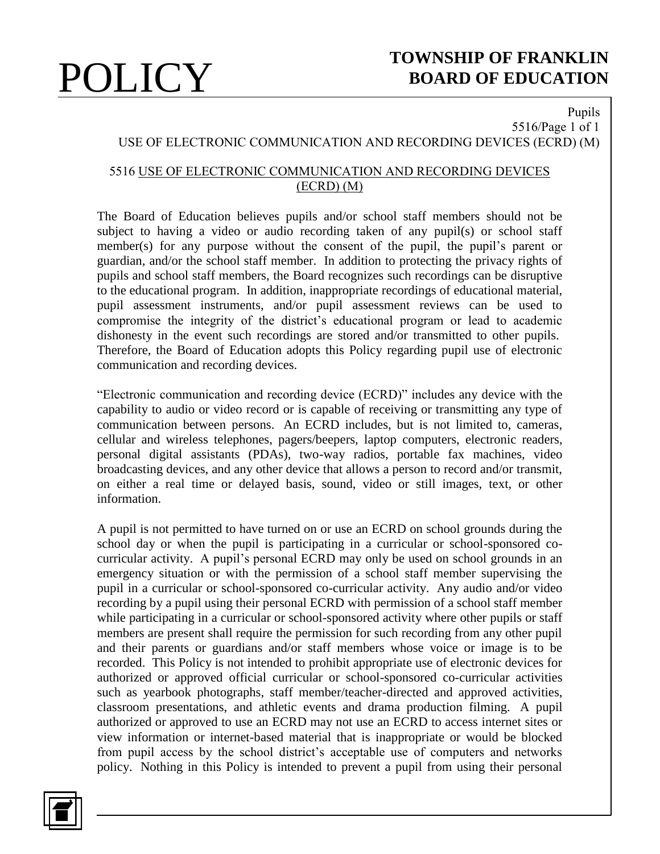## **POLICY** TOWNSHIP OF FRANKLIN **BOARD OF EDUCATION**

### Pupils 5516/Page 1 of 1

## USE OF ELECTRONIC COMMUNICATION AND RECORDING DEVICES (ECRD) (M)

### 5516 USE OF ELECTRONIC COMMUNICATION AND RECORDING DEVICES (ECRD) (M)

The Board of Education believes pupils and/or school staff members should not be subject to having a video or audio recording taken of any pupil(s) or school staff member(s) for any purpose without the consent of the pupil, the pupil's parent or guardian, and/or the school staff member. In addition to protecting the privacy rights of pupils and school staff members, the Board recognizes such recordings can be disruptive to the educational program. In addition, inappropriate recordings of educational material, pupil assessment instruments, and/or pupil assessment reviews can be used to compromise the integrity of the district's educational program or lead to academic dishonesty in the event such recordings are stored and/or transmitted to other pupils. Therefore, the Board of Education adopts this Policy regarding pupil use of electronic communication and recording devices.

"Electronic communication and recording device (ECRD)" includes any device with the capability to audio or video record or is capable of receiving or transmitting any type of communication between persons. An ECRD includes, but is not limited to, cameras, cellular and wireless telephones, pagers/beepers, laptop computers, electronic readers, personal digital assistants (PDAs), two-way radios, portable fax machines, video broadcasting devices, and any other device that allows a person to record and/or transmit, on either a real time or delayed basis, sound, video or still images, text, or other information.

A pupil is not permitted to have turned on or use an ECRD on school grounds during the school day or when the pupil is participating in a curricular or school-sponsored cocurricular activity. A pupil's personal ECRD may only be used on school grounds in an emergency situation or with the permission of a school staff member supervising the pupil in a curricular or school-sponsored co-curricular activity. Any audio and/or video recording by a pupil using their personal ECRD with permission of a school staff member while participating in a curricular or school-sponsored activity where other pupils or staff members are present shall require the permission for such recording from any other pupil and their parents or guardians and/or staff members whose voice or image is to be recorded. This Policy is not intended to prohibit appropriate use of electronic devices for authorized or approved official curricular or school-sponsored co-curricular activities such as yearbook photographs, staff member/teacher-directed and approved activities, classroom presentations, and athletic events and drama production filming. A pupil authorized or approved to use an ECRD may not use an ECRD to access internet sites or view information or internet-based material that is inappropriate or would be blocked from pupil access by the school district's acceptable use of computers and networks policy. Nothing in this Policy is intended to prevent a pupil from using their personal